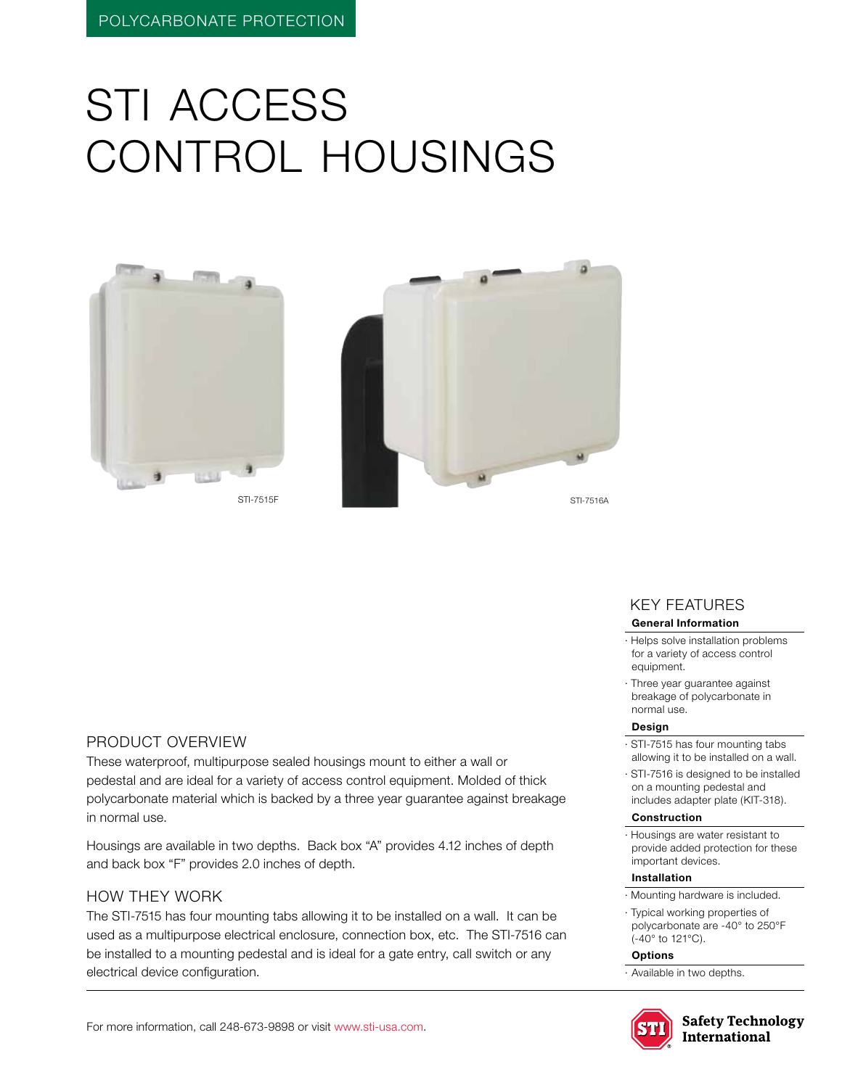# STI access control housings





KEY features

#### **General Information**

- · Helps solve installation problems for a variety of access control equipment.
- · Three year guarantee against breakage of polycarbonate in normal use.

#### **Design**

- · STI-7515 has four mounting tabs allowing it to be installed on a wall.
- · STI-7516 is designed to be installed on a mounting pedestal and includes adapter plate (KIT-318).

#### **Construction**

· Housings are water resistant to provide added protection for these important devices.

#### **Installation**

- · Mounting hardware is included.
- · Typical working properties of polycarbonate are -40° to 250°F (-40° to 121°C).

#### **Options**

· Available in two depths.



**Safety Technology International** 

### Product Overview

These waterproof, multipurpose sealed housings mount to either a wall or pedestal and are ideal for a variety of access control equipment. Molded of thick polycarbonate material which is backed by a three year guarantee against breakage in normal use.

Housings are available in two depths. Back box "A" provides 4.12 inches of depth and back box "F" provides 2.0 inches of depth.

### HOW THEY WORK

The STI-7515 has four mounting tabs allowing it to be installed on a wall. It can be used as a multipurpose electrical enclosure, connection box, etc. The STI-7516 can be installed to a mounting pedestal and is ideal for a gate entry, call switch or any electrical device configuration.